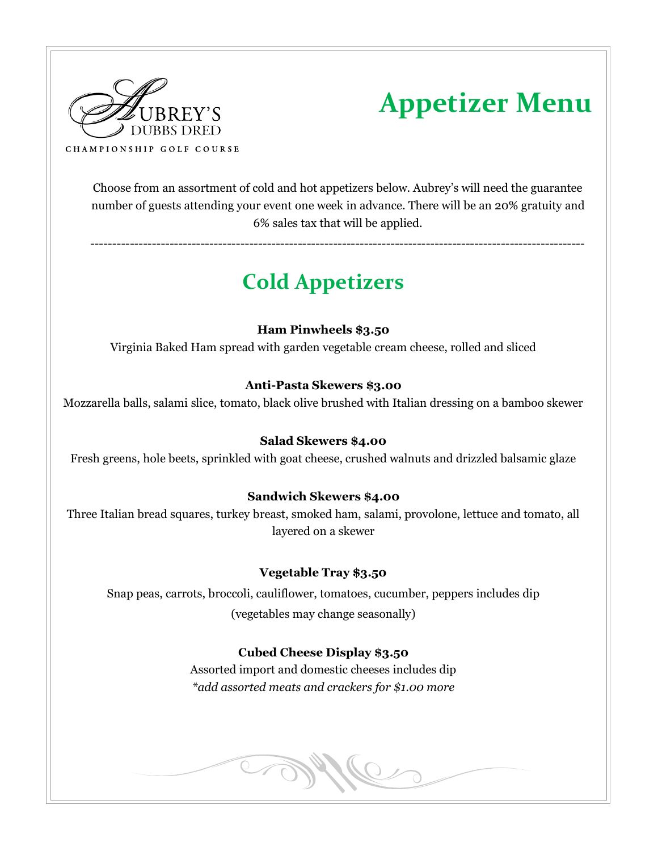

# **Appetizer Menu**

Choose from an assortment of cold and hot appetizers below. Aubrey's will need the guarantee number of guests attending your event one week in advance. There will be an 20% gratuity and 6% sales tax that will be applied.

----------------------------------------------------------------------------------------------------------------

## **Cold Appetizers**

#### **Ham Pinwheels \$3.50**

Virginia Baked Ham spread with garden vegetable cream cheese, rolled and sliced

#### **Anti-Pasta Skewers \$3.00**

Mozzarella balls, salami slice, tomato, black olive brushed with Italian dressing on a bamboo skewer

#### **Salad Skewers \$4.00**

Fresh greens, hole beets, sprinkled with goat cheese, crushed walnuts and drizzled balsamic glaze

#### **Sandwich Skewers \$4.00**

Three Italian bread squares, turkey breast, smoked ham, salami, provolone, lettuce and tomato, all layered on a skewer

#### **Vegetable Tray \$3.50**

Snap peas, carrots, broccoli, cauliflower, tomatoes, cucumber, peppers includes dip (vegetables may change seasonally)

#### **Cubed Cheese Display \$3.50**

Assorted import and domestic cheeses includes dip *\*add assorted meats and crackers for \$1.00 more* 

**COPY CO**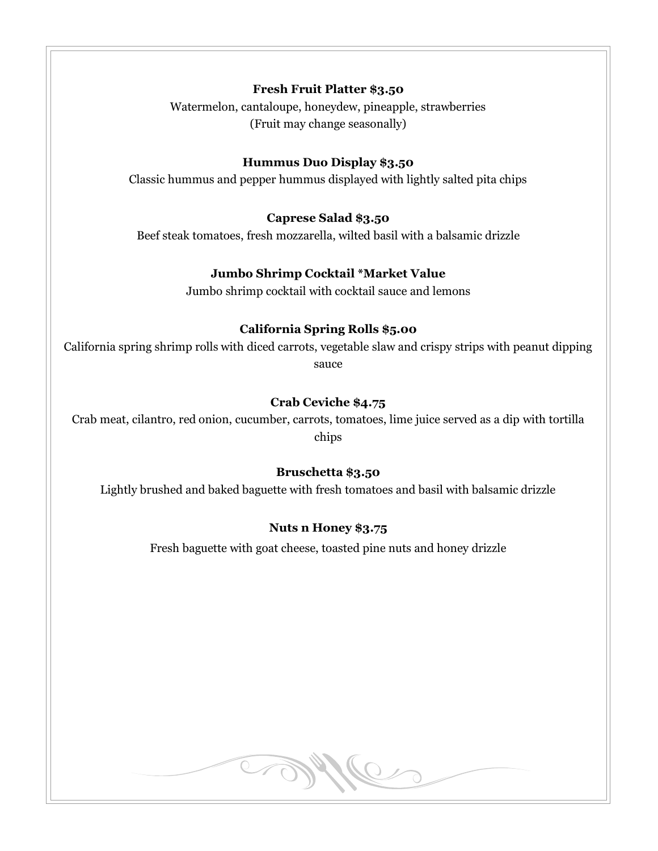#### **Fresh Fruit Platter \$3.50**

Watermelon, cantaloupe, honeydew, pineapple, strawberries (Fruit may change seasonally)

#### **Hummus Duo Display \$3.50**

Classic hummus and pepper hummus displayed with lightly salted pita chips

#### **Caprese Salad \$3.50**

Beef steak tomatoes, fresh mozzarella, wilted basil with a balsamic drizzle

#### **Jumbo Shrimp Cocktail \*Market Value**

Jumbo shrimp cocktail with cocktail sauce and lemons

#### **California Spring Rolls \$5.00**

California spring shrimp rolls with diced carrots, vegetable slaw and crispy strips with peanut dipping sauce

#### **Crab Ceviche \$4.75**

Crab meat, cilantro, red onion, cucumber, carrots, tomatoes, lime juice served as a dip with tortilla chips

#### **Bruschetta \$3.50**

Lightly brushed and baked baguette with fresh tomatoes and basil with balsamic drizzle

#### **Nuts n Honey \$3.75**

Fresh baguette with goat cheese, toasted pine nuts and honey drizzle

Me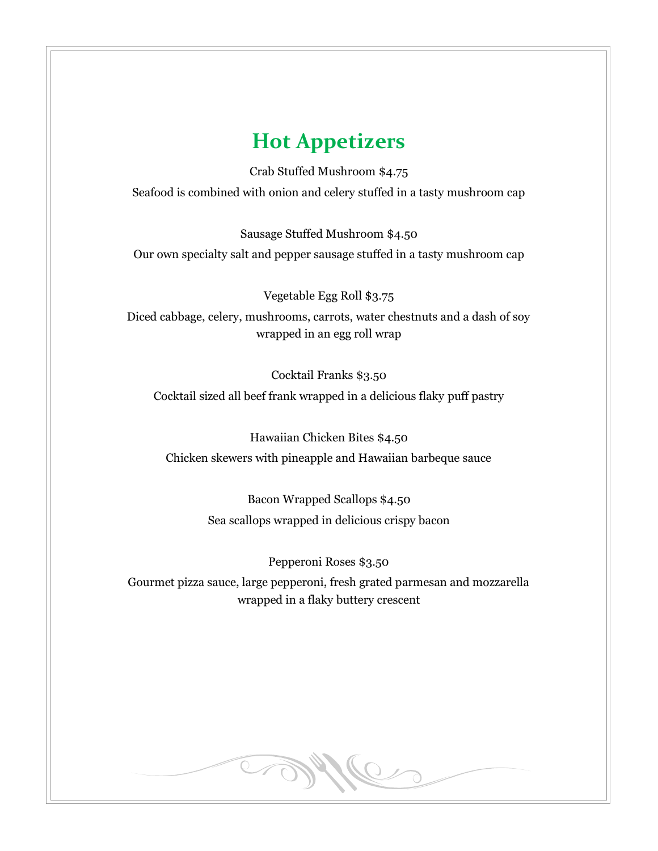### **Hot Appetizers**

Crab Stuffed Mushroom \$4.75 Seafood is combined with onion and celery stuffed in a tasty mushroom cap

Sausage Stuffed Mushroom \$4.50 Our own specialty salt and pepper sausage stuffed in a tasty mushroom cap

Vegetable Egg Roll \$3.75 Diced cabbage, celery, mushrooms, carrots, water chestnuts and a dash of soy wrapped in an egg roll wrap

Cocktail Franks \$3.50 Cocktail sized all beef frank wrapped in a delicious flaky puff pastry

Hawaiian Chicken Bites \$4.50 Chicken skewers with pineapple and Hawaiian barbeque sauce

> Bacon Wrapped Scallops \$4.50 Sea scallops wrapped in delicious crispy bacon

Pepperoni Roses \$3.50 Gourmet pizza sauce, large pepperoni, fresh grated parmesan and mozzarella wrapped in a flaky buttery crescent

Me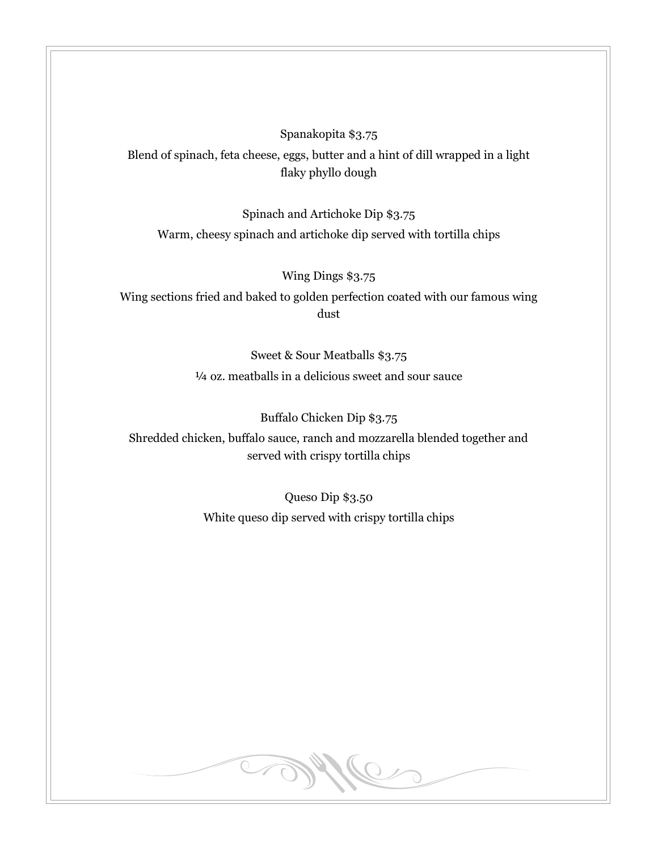Spanakopita \$3.75 Blend of spinach, feta cheese, eggs, butter and a hint of dill wrapped in a light flaky phyllo dough

Spinach and Artichoke Dip \$3.75

Warm, cheesy spinach and artichoke dip served with tortilla chips

Wing Dings \$3.75

Wing sections fried and baked to golden perfection coated with our famous wing dust

> Sweet & Sour Meatballs \$3.75 ¼ oz. meatballs in a delicious sweet and sour sauce

> > Buffalo Chicken Dip \$3.75

Shredded chicken, buffalo sauce, ranch and mozzarella blended together and served with crispy tortilla chips

> Queso Dip \$3.50 White queso dip served with crispy tortilla chips

> > Me